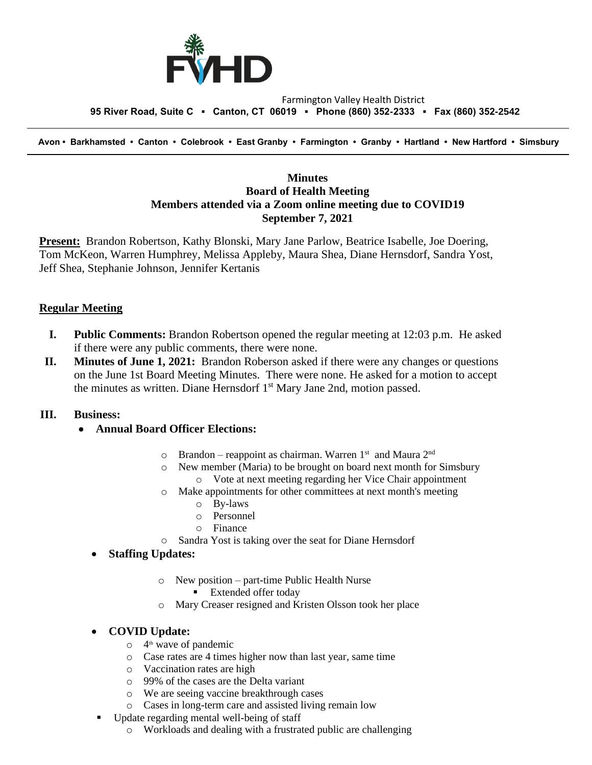

#### Farmington Valley Health District  **95 River Road, Suite C ▪ Canton, CT 06019 ▪ Phone (860) 352-2333 ▪ Fax (860) 352-2542**

 **Avon • Barkhamsted • Canton • Colebrook • East Granby • Farmington • Granby • Hartland • New Hartford • Simsbury**

### **Minutes Board of Health Meeting Members attended via a Zoom online meeting due to COVID19 September 7, 2021**

**Present:** Brandon Robertson, Kathy Blonski, Mary Jane Parlow, Beatrice Isabelle, Joe Doering, Tom McKeon, Warren Humphrey, Melissa Appleby, Maura Shea, Diane Hernsdorf, Sandra Yost, Jeff Shea, Stephanie Johnson, Jennifer Kertanis

### **Regular Meeting**

- **I. Public Comments:** Brandon Robertson opened the regular meeting at 12:03 p.m. He asked if there were any public comments, there were none.
- **II. Minutes of June 1, 2021:** Brandon Roberson asked if there were any changes or questions on the June 1st Board Meeting Minutes. There were none. He asked for a motion to accept the minutes as written. Diane Hernsdorf 1<sup>st</sup> Mary Jane 2nd, motion passed.

#### **III. Business:**

- **Annual Board Officer Elections:**
	- $\circ$  Brandon reappoint as chairman. Warren 1<sup>st</sup> and Maura 2<sup>nd</sup>
	- o New member (Maria) to be brought on board next month for Simsbury o Vote at next meeting regarding her Vice Chair appointment
	- o Make appointments for other committees at next month's meeting
		- o By-laws
		- o Personnel
		- o Finance
	- o Sandra Yost is taking over the seat for Diane Hernsdorf

#### • **Staffing Updates:**

- o New position part-time Public Health Nurse
	- Extended offer today
- o Mary Creaser resigned and Kristen Olsson took her place

### • **COVID Update:**

- o 4 th wave of pandemic
- o Case rates are 4 times higher now than last year, same time
- o Vaccination rates are high
- o 99% of the cases are the Delta variant
- o We are seeing vaccine breakthrough cases
- o Cases in long-term care and assisted living remain low
- Update regarding mental well-being of staff
	- o Workloads and dealing with a frustrated public are challenging